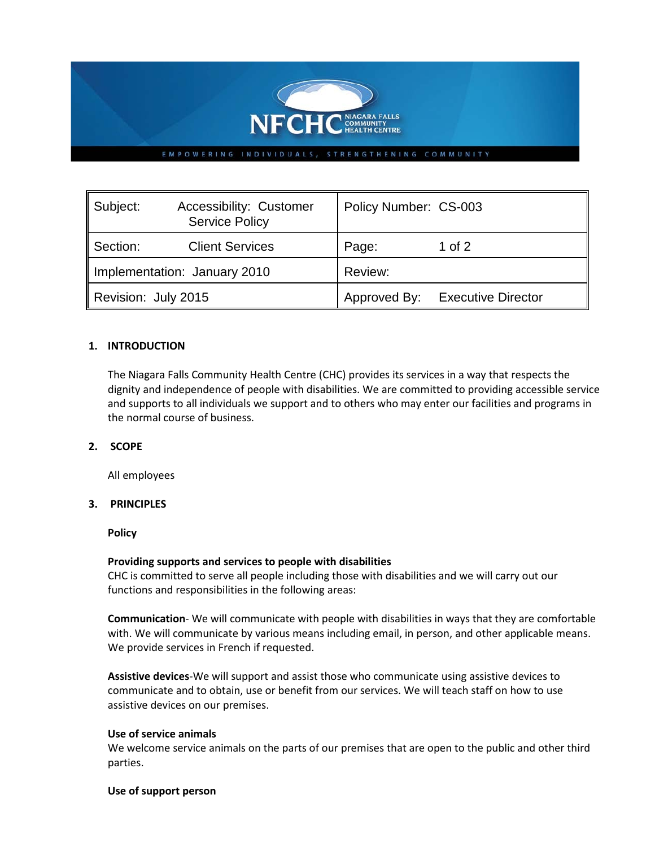

| Subject:                     | Accessibility: Customer<br><b>Service Policy</b> | Policy Number: CS-003 |                           |
|------------------------------|--------------------------------------------------|-----------------------|---------------------------|
| Section:                     | <b>Client Services</b>                           | Page:                 | 1 of $2$                  |
| Implementation: January 2010 |                                                  | Review:               |                           |
| Revision: July 2015          |                                                  | Approved By:          | <b>Executive Director</b> |

# **1. INTRODUCTION**

The Niagara Falls Community Health Centre (CHC) provides its services in a way that respects the dignity and independence of people with disabilities. We are committed to providing accessible service and supports to all individuals we support and to others who may enter our facilities and programs in the normal course of business.

# **2. SCOPE**

All employees

### **3. PRINCIPLES**

### **Policy**

# **Providing supports and services to people with disabilities**

CHC is committed to serve all people including those with disabilities and we will carry out our functions and responsibilities in the following areas:

**Communication**- We will communicate with people with disabilities in ways that they are comfortable with. We will communicate by various means including email, in person, and other applicable means. We provide services in French if requested.

**Assistive devices**-We will support and assist those who communicate using assistive devices to communicate and to obtain, use or benefit from our services. We will teach staff on how to use assistive devices on our premises.

### **Use of service animals**

We welcome service animals on the parts of our premises that are open to the public and other third parties.

### **Use of support person**